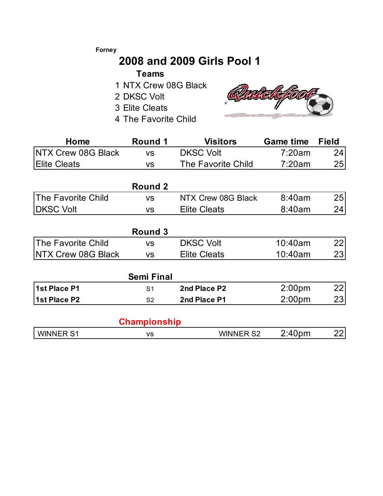### **Forney**

# **2008 and 2009 Girls Pool 1**

## **Teams**

- 1 NTX Crew 08G Black
- 2 DKSC Volt
- 3 Elite Cleats
- 4 The Favorite Child



| Home                      | <b>Round 1</b>    | <b>Visitors</b>                        | <b>Game time</b>   | <b>Field</b> |  |
|---------------------------|-------------------|----------------------------------------|--------------------|--------------|--|
| <b>NTX Crew 08G Black</b> | <b>VS</b>         | <b>DKSC Volt</b>                       | 7:20am             | 24           |  |
| <b>Elite Cleats</b>       | <b>VS</b>         | <b>The Favorite Child</b>              | 7:20am             | 25           |  |
|                           | <b>Round 2</b>    |                                        |                    |              |  |
| <b>The Favorite Child</b> | <b>VS</b>         | NTX Crew 08G Black                     | 8:40am             | 25           |  |
| <b>DKSC Volt</b>          | <b>VS</b>         | <b>Elite Cleats</b>                    | 8:40am             | 24           |  |
|                           | <b>Round 3</b>    |                                        |                    |              |  |
| The Favorite Child        | <b>VS</b>         | <b>DKSC Volt</b>                       | 10:40am            | 22           |  |
| NTX Crew 08G Black        | <b>VS</b>         | <b>Elite Cleats</b>                    | 10:40am            | 23           |  |
|                           | <b>Semi Final</b> |                                        |                    |              |  |
| 1st Place P1              | S <sub>1</sub>    | 2nd Place P2                           | 2:00 <sub>pm</sub> | 22           |  |
| 1st Place P2              | S <sub>2</sub>    | 2nd Place P1                           | 2:00 <sub>pm</sub> | 23           |  |
|                           | Championship      |                                        |                    |              |  |
| <b>WINNER S1</b>          | <b>VS</b>         | 2:40 <sub>pm</sub><br><b>WINNER S2</b> |                    |              |  |